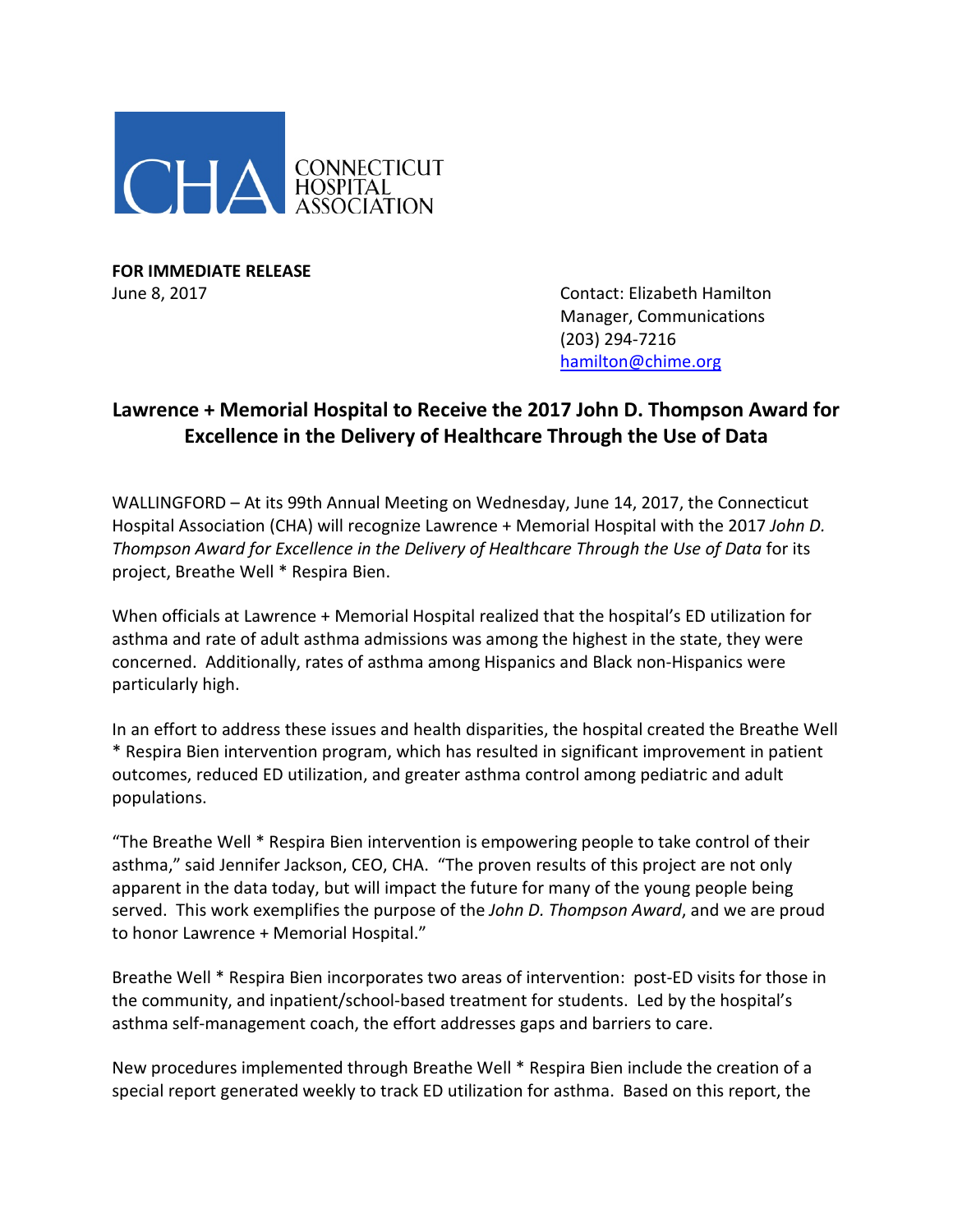

**FOR IMMEDIATE RELEASE**

June 8, 2017 **Contact: Elizabeth Hamilton** Manager, Communications (203) 294-7216 [hamilton@chime.org](mailto:hamilton@chime.org)

## **Lawrence + Memorial Hospital to Receive the 2017 John D. Thompson Award for Excellence in the Delivery of Healthcare Through the Use of Data**

WALLINGFORD – At its 99th Annual Meeting on Wednesday, June 14, 2017, the Connecticut Hospital Association (CHA) will recognize Lawrence + Memorial Hospital with the 2017 *John D. Thompson Award for Excellence in the Delivery of Healthcare Through the Use of Data* for its project, Breathe Well \* Respira Bien.

When officials at Lawrence + Memorial Hospital realized that the hospital's ED utilization for asthma and rate of adult asthma admissions was among the highest in the state, they were concerned. Additionally, rates of asthma among Hispanics and Black non-Hispanics were particularly high.

In an effort to address these issues and health disparities, the hospital created the Breathe Well \* Respira Bien intervention program, which has resulted in significant improvement in patient outcomes, reduced ED utilization, and greater asthma control among pediatric and adult populations.

"The Breathe Well \* Respira Bien intervention is empowering people to take control of their asthma," said Jennifer Jackson, CEO, CHA. "The proven results of this project are not only apparent in the data today, but will impact the future for many of the young people being served. This work exemplifies the purpose of the *John D. Thompson Award*, and we are proud to honor Lawrence + Memorial Hospital."

Breathe Well \* Respira Bien incorporates two areas of intervention: post-ED visits for those in the community, and inpatient/school-based treatment for students. Led by the hospital's asthma self-management coach, the effort addresses gaps and barriers to care.

New procedures implemented through Breathe Well \* Respira Bien include the creation of a special report generated weekly to track ED utilization for asthma. Based on this report, the